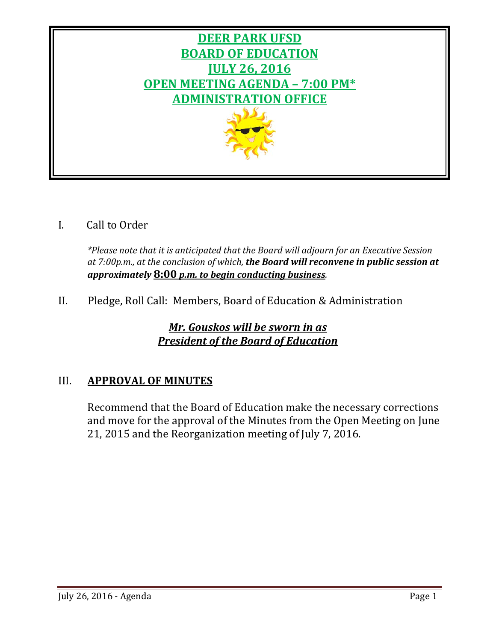

I. Call to Order

*\*Please note that it is anticipated that the Board will adjourn for an Executive Session at 7:00p.m., at the conclusion of which, the Board will reconvene in public session at approximately* **8:00** *p.m. to begin conducting business.*

II. Pledge, Roll Call: Members, Board of Education & Administration

*Mr. Gouskos will be sworn in as President of the Board of Education*

# III. **APPROVAL OF MINUTES**

Recommend that the Board of Education make the necessary corrections and move for the approval of the Minutes from the Open Meeting on June 21, 2015 and the Reorganization meeting of July 7, 2016.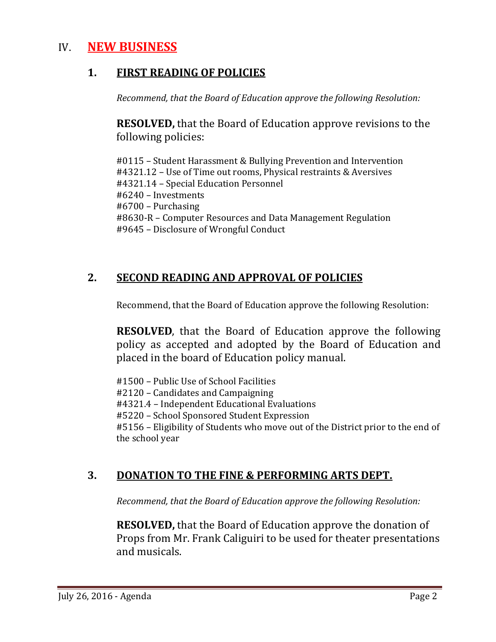# IV. **NEW BUSINESS**

# **1. FIRST READING OF POLICIES**

*Recommend, that the Board of Education approve the following Resolution:*

**RESOLVED,** that the Board of Education approve revisions to the following policies:

#0115 – Student Harassment & Bullying Prevention and Intervention #4321.12 – Use of Time out rooms, Physical restraints & Aversives #4321.14 – Special Education Personnel #6240 – Investments #6700 – Purchasing #8630-R – Computer Resources and Data Management Regulation #9645 – Disclosure of Wrongful Conduct

# **2. SECOND READING AND APPROVAL OF POLICIES**

Recommend, that the Board of Education approve the following Resolution:

**RESOLVED**, that the Board of Education approve the following policy as accepted and adopted by the Board of Education and placed in the board of Education policy manual.

#1500 – Public Use of School Facilities #2120 – Candidates and Campaigning #4321.4 – Independent Educational Evaluations #5220 – School Sponsored Student Expression #5156 – Eligibility of Students who move out of the District prior to the end of the school year

# **3. DONATION TO THE FINE & PERFORMING ARTS DEPT.**

*Recommend, that the Board of Education approve the following Resolution:*

**RESOLVED,** that the Board of Education approve the donation of Props from Mr. Frank Caliguiri to be used for theater presentations and musicals.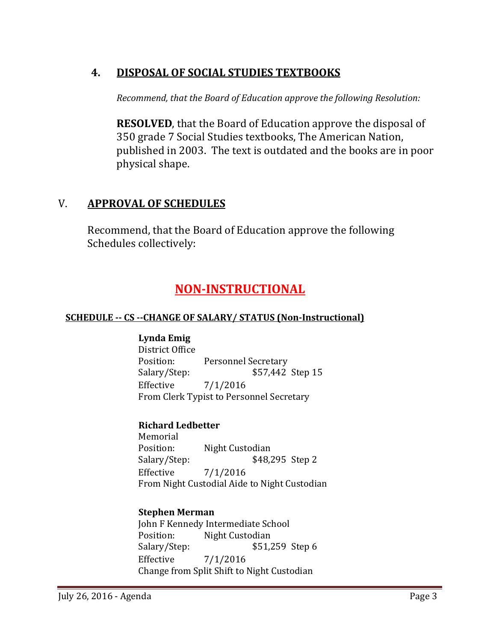# **4. DISPOSAL OF SOCIAL STUDIES TEXTBOOKS**

*Recommend, that the Board of Education approve the following Resolution:*

**RESOLVED**, that the Board of Education approve the disposal of 350 grade 7 Social Studies textbooks, The American Nation, published in 2003. The text is outdated and the books are in poor physical shape.

# V. **APPROVAL OF SCHEDULES**

Recommend, that the Board of Education approve the following Schedules collectively:

# **NON-INSTRUCTIONAL**

# **SCHEDULE -- CS --CHANGE OF SALARY/ STATUS (Non-Instructional)**

# **Lynda Emig**

District Office<br>Position: Position: Personnel Secretary<br>Salary/Step: \$57,442 \$57,442 Step 15 Effective 7/1/2016 From Clerk Typist to Personnel Secretary

# **Richard Ledbetter**

Memorial<br>Position: Position: Night Custodian<br>Salary/Step: \$48, \$48,295 Step 2 Effective 7/1/2016 From Night Custodial Aide to Night Custodian

# **Stephen Merman**

John F Kennedy Intermediate School<br>Position: Night Custodian Position: Night Custodian<br>Salary/Step: \$51,2 Salary/Step: \$51,259 Step 6<br>Effective 7/1/2016  $7/1/2016$ Change from Split Shift to Night Custodian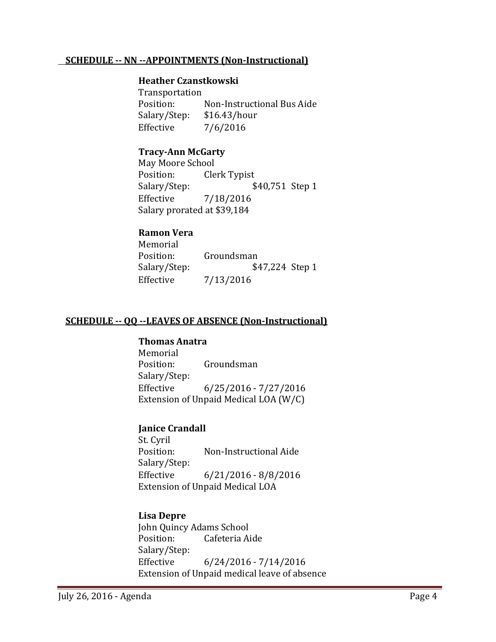#### **SCHEDULE -- NN --APPOINTMENTS (Non-Instructional)**

#### **Heather Czanstkowski**

Transportation<br>Position: Non-Instructional Bus Aide<br>\$16.43/hour Salary/Step: Effective 7/6/2016

#### **Tracy-Ann McGarty**

May Moore School<br>Position: Cle Position: Clerk Typist<br>Salary/Step: \$ \$40,751 Step 1 Effective 7/18/2016 Salary prorated at \$39,184

#### **Ramon Vera**

Memorial<br>Position: Position: Groundsman<br>Salary/Step: \$4 \$47,224 Step 1 Effective 7/13/2016

#### **SCHEDULE -- QQ --LEAVES OF ABSENCE (Non-Instructional)**

#### **Thomas Anatra**

Memorial<br>Position: Groundsman Salary/Step: Effective 6/25/2016 - 7/27/2016 Extension of Unpaid Medical LOA (W/C)

#### **Janice Crandall**

St. Cyril<br>Position: Non-Instructional Aide Salary/Step: Effective 6/21/2016 - 8/8/2016 Extension of Unpaid Medical LOA

#### **Lisa Depre**

John Quincy Adams School<br>Position: Cafeteria Ai Cafeteria Aide Salary/Step: Effective 6/24/2016 - 7/14/2016 Extension of Unpaid medical leave of absence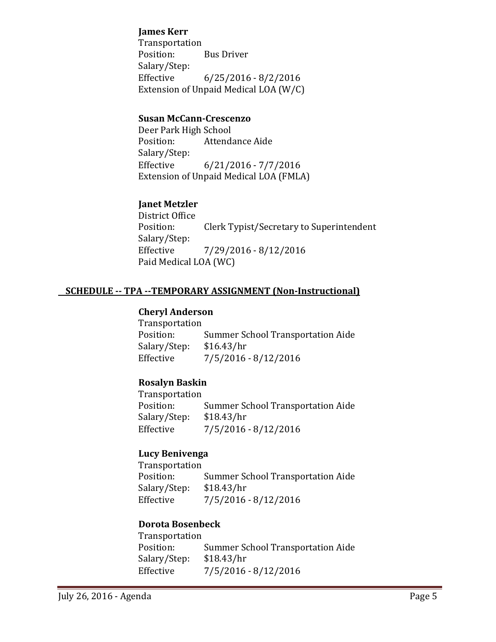### **James Kerr**

Transportation<br>Position: **Bus Driver** Salary/Step:<br>Effective  $6/25/2016 - 8/2/2016$ Extension of Unpaid Medical LOA (W/C)

### **Susan McCann-Crescenzo**

Deer Park High School<br>Position: Attenda Attendance Aide Salary/Step:  $6/21/2016 - 7/7/2016$ Extension of Unpaid Medical LOA (FMLA)

# **Janet Metzler**

District Office<br>Position: Clerk Typist/Secretary to Superintendent Salary/Step:<br>Effective  $7/29/2016 - 8/12/2016$ Paid Medical LOA (WC)

# **SCHEDULE -- TPA --TEMPORARY ASSIGNMENT (Non-Instructional)**

#### **Cheryl Anderson**

| Transportation                           |
|------------------------------------------|
| <b>Summer School Transportation Aide</b> |
| \$16.43/hr                               |
| $7/5/2016 - 8/12/2016$                   |
|                                          |

#### **Rosalyn Baskin**

Transportation Summer School Transportation Aide<br>\$18.43/hr Salary/Step:<br>Effective  $7/5/2016 - 8/12/2016$ 

# **Lucy Benivenga**

Transportation Summer School Transportation Aide<br>\$18.43/hr Salary/Step:<br>Effective  $7/5/2016 - 8/12/2016$ 

#### **Dorota Bosenbeck**

Transportation Summer School Transportation Aide<br>\$18.43/hr Salary/Step:<br>Effective  $7/5/2016 - 8/12/2016$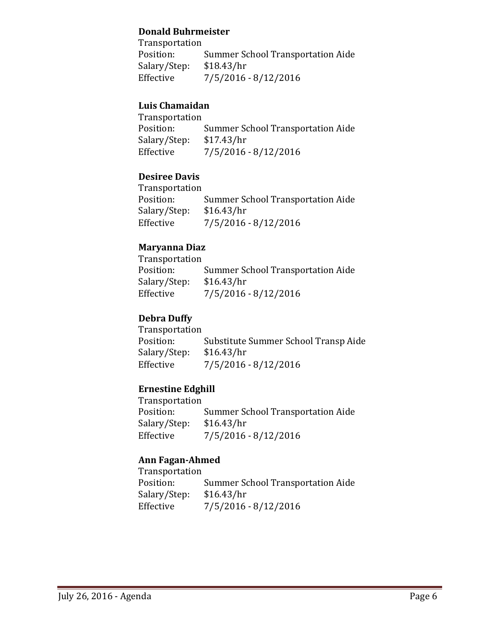#### **Donald Buhrmeister**

Transportation<br>Position: Summer School Transportation Aide<br>\$18.43/hr Salary/Step:<br>Effective  $7/5/2016 - 8/12/2016$ 

# **Luis Chamaidan**

Transportation Summer School Transportation Aide<br>\$17.43/hr Salary/Step:<br>Effective  $7/5/2016 - 8/12/2016$ 

# **Desiree Davis**

Transportation Summer School Transportation Aide<br>\$16.43/hr Salary/Step:<br>Effective  $7/5/2016 - 8/12/2016$ 

# **Maryanna Diaz**

Transportation<br>Position: Summer School Transportation Aide<br>\$16.43/hr Salary/Step:<br>Effective  $7/5/2016 - 8/12/2016$ 

# **Debra Duffy**

Transportation Substitute Summer School Transp Aide<br>\$16.43/hr Salary/Step:<br>Effective  $7/5/2016 - 8/12/2016$ 

#### **Ernestine Edghill**

Transportation Summer School Transportation Aide<br>\$16.43/hr Salary/Step: Effective 7/5/2016 - 8/12/2016

#### **Ann Fagan-Ahmed**

Transportation Summer School Transportation Aide<br>\$16.43/hr Salary/Step:<br>Effective  $7/5/2016 - 8/12/2016$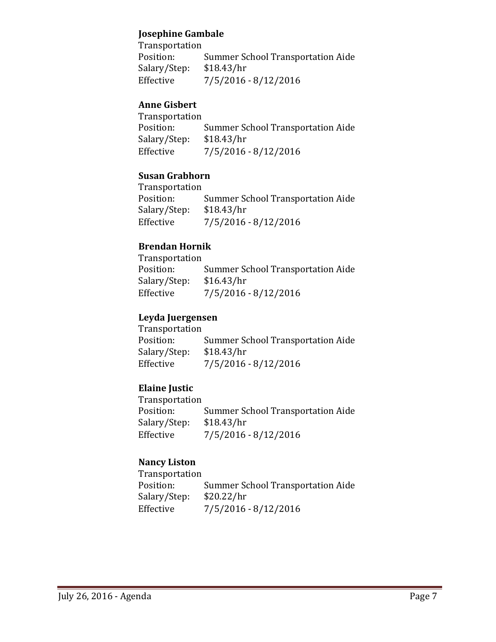# **Josephine Gambale**

Transportation Summer School Transportation Aide<br>\$18.43/hr Salary/Step:<br>Effective  $7/5/2016 - 8/12/2016$ 

# **Anne Gisbert**

Transportation Summer School Transportation Aide<br>\$18.43/hr Salary/Step:<br>Effective  $7/5/2016 - 8/12/2016$ 

# **Susan Grabhorn**

Transportation<br>Position: Summer School Transportation Aide<br>\$18.43/hr Salary/Step:<br>Effective  $7/5/2016 - 8/12/2016$ 

# **Brendan Hornik**

| Transportation                           |
|------------------------------------------|
| <b>Summer School Transportation Aide</b> |
| \$16.43/hr                               |
| 7/5/2016 - 8/12/2016                     |
|                                          |

# **Leyda Juergensen**

| <b>Transportation</b> |                                          |
|-----------------------|------------------------------------------|
| Position:             | <b>Summer School Transportation Aide</b> |
| Salary/Step:          | \$18.43/hr                               |
| Effective             | $7/5/2016 - 8/12/2016$                   |

# **Elaine Justic**

Transportation Summer School Transportation Aide<br>\$18.43/hr Salary/Step:<br>Effective  $7/5/2016 - 8/12/2016$ 

# **Nancy Liston**

Transportation<br>Position: Summer School Transportation Aide<br>\$20.22/hr Salary/Step:<br>Effective  $7/5/2016 - 8/12/2016$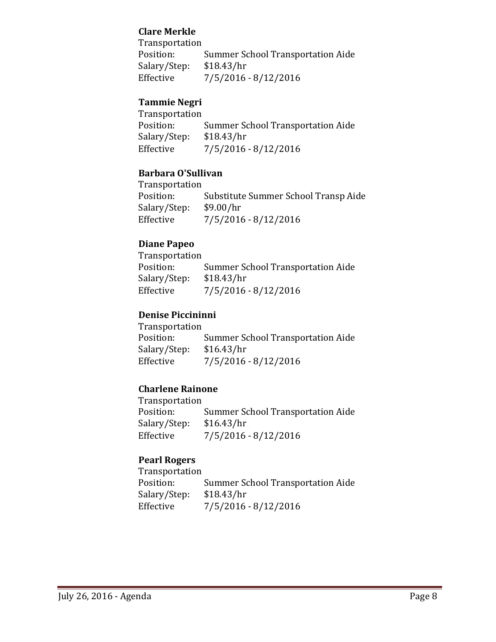# **Clare Merkle**

Transportation<br>Position: Summer School Transportation Aide<br>\$18.43/hr Salary/Step:<br>Effective  $7/5/2016 - 8/12/2016$ 

# **Tammie Negri**

Transportation<br>Position: Summer School Transportation Aide<br>\$18.43/hr Salary/Step:<br>Effective  $7/5/2016 - 8/12/2016$ 

# **Barbara O'Sullivan**

Transportation Substitute Summer School Transp Aide<br>\$9.00/hr Salary/Step:<br>Effective  $7/5/2016 - 8/12/2016$ 

# **Diane Papeo**

Transportation Summer School Transportation Aide<br>\$18.43/hr Salary/Step:<br>Effective  $7/5/2016 - 8/12/2016$ 

# **Denise Piccininni**

Transportation Summer School Transportation Aide<br>\$16.43/hr Salary/Step:<br>Effective  $7/5/2016 - 8/12/2016$ 

#### **Charlene Rainone**

Transportation Summer School Transportation Aide<br>\$16.43/hr Salary/Step: Effective 7/5/2016 - 8/12/2016

### **Pearl Rogers**

Transportation Summer School Transportation Aide<br>\$18.43/hr Salary/Step:<br>Effective  $7/5/2016 - 8/12/2016$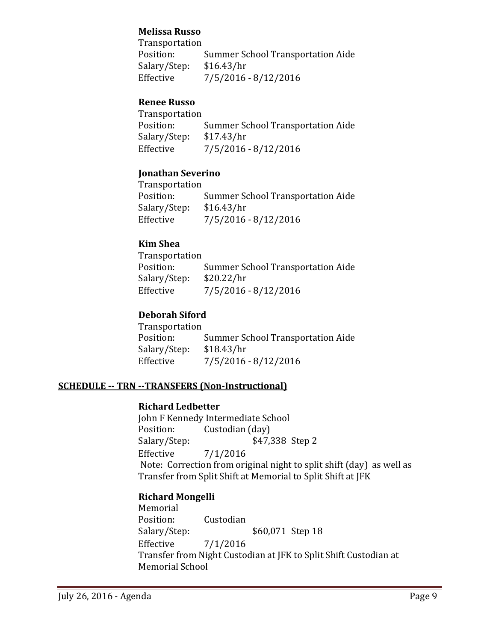# **Melissa Russo**

Transportation<br>Position: Summer School Transportation Aide<br>\$16.43/hr Salary/Step:<br>Effective  $7/5/2016 - 8/12/2016$ 

# **Renee Russo**

Transportation Summer School Transportation Aide<br>\$17.43/hr Salary/Step:<br>Effective  $7/5/2016 - 8/12/2016$ 

# **Jonathan Severino**

Transportation Summer School Transportation Aide<br>\$16.43/hr Salary/Step:<br>Effective  $7/5/2016 - 8/12/2016$ 

#### **Kim Shea**

Transportation Summer School Transportation Aide<br>\$20.22/hr Salary/Step:<br>Effective  $7/5/2016 - 8/12/2016$ 

# **Deborah Siford**

Transportation Summer School Transportation Aide<br>\$18.43/hr Salary/Step:<br>Effective  $7/5/2016 - 8/12/2016$ 

# **SCHEDULE -- TRN --TRANSFERS (Non-Instructional)**

#### **Richard Ledbetter**

John F Kennedy Intermediate School<br>Position: Custodian (day) Position: Custodian (day)<br>Salary/Step: \$47, Salary/Step: \$47,338 Step 2<br>Effective 7/1/2016  $7/1/2016$ Note: Correction from original night to split shift (day) as well as Transfer from Split Shift at Memorial to Split Shift at JFK

# **Richard Mongelli**

Memorial<br>Position: Position: Custodian<br>Salary/Step: \$60,071 Step 18 Effective 7/1/2016 Transfer from Night Custodian at JFK to Split Shift Custodian at Memorial School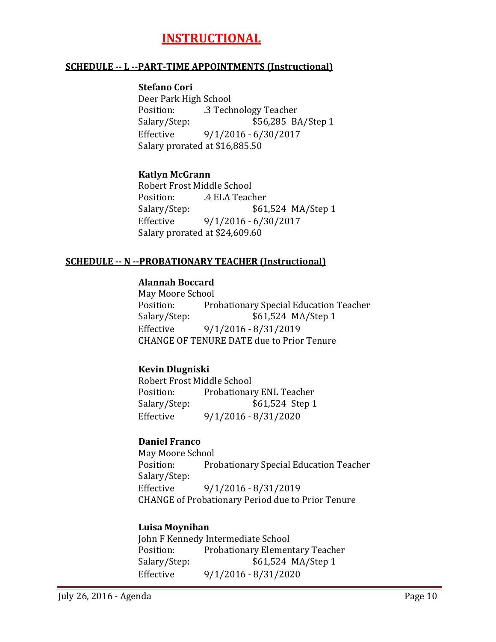# **INSTRUCTIONAL**

#### **SCHEDULE -- L --PART-TIME APPOINTMENTS (Instructional)**

#### **Stefano Cori**

Deer Park High School Position: .3 Technology Teacher Salary/Step: \$56,285 BA/Step 1<br>Effective 9/1/2016 - 6/30/2017  $9/1/2016 - 6/30/2017$ Salary prorated at \$16,885.50

#### **Katlyn McGrann**

Robert Frost Middle School<br>Position: 4 ELA Teac Position: .4 ELA Teacher<br>Salary/Step: \$61 \$61,524 MA/Step 1 Effective 9/1/2016 - 6/30/2017 Salary prorated at \$24,609.60

#### **SCHEDULE -- N --PROBATIONARY TEACHER (Instructional)**

# **Alannah Boccard**

May Moore School<br>Position: Pro Position: Probationary Special Education Teacher<br>Salary/Step: \$61,524 MA/Step 1 \$61,524 MA/Step 1 Effective 9/1/2016 - 8/31/2019 CHANGE OF TENURE DATE due to Prior Tenure

#### **Kevin Dlugniski**

Robert Frost Middle School<br>Position: Probationar Position: Probationary ENL Teacher<br>Salary/Step: \$61,524 Step 1 Salary/Step: \$61,524 Step 1<br>Effective 9/1/2016 - 8/31/2020 Effective 9/1/2016 - 8/31/2020

#### **Daniel Franco**

May Moore School<br>Position: Pro Probationary Special Education Teacher Salary/Step:<br>Effective Effective 9/1/2016 - 8/31/2019 CHANGE of Probationary Period due to Prior Tenure

#### **Luisa Moynihan**

John F Kennedy Intermediate School<br>Position: Probationary Elemen Position: Probationary Elementary Teacher<br>Salary/Step: \$61,524 MA/Step 1 \$61,524 MA/Step 1 Effective 9/1/2016 - 8/31/2020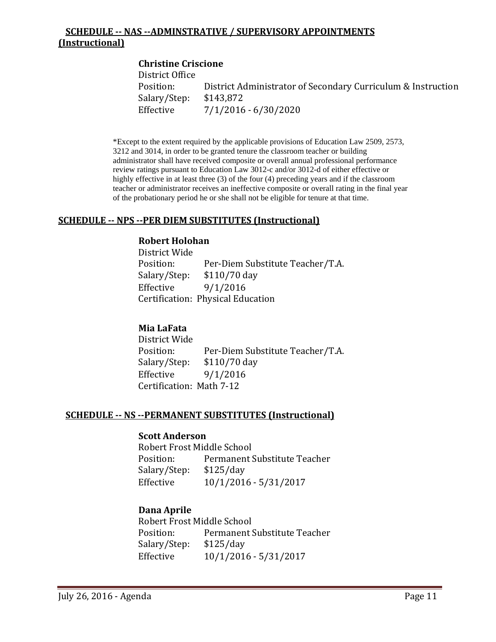# **SCHEDULE -- NAS --ADMINSTRATIVE / SUPERVISORY APPOINTMENTS (Instructional)**

# **Christine Criscione** District Office District Administrator of Secondary Curriculum & Instruction \$143,872 Salary/Step:<br>Effective  $7/1/2016 - 6/30/2020$

\*Except to the extent required by the applicable provisions of Education Law 2509, 2573, 3212 and 3014, in order to be granted tenure the classroom teacher or building administrator shall have received composite or overall annual professional performance review ratings pursuant to Education Law 3012-c and/or 3012-d of either effective or highly effective in at least three (3) of the four (4) preceding years and if the classroom teacher or administrator receives an ineffective composite or overall rating in the final year of the probationary period he or she shall not be eligible for tenure at that time.

#### **SCHEDULE -- NPS --PER DIEM SUBSTITUTES (Instructional)**

#### **Robert Holohan**

District Wide Position: Per-Diem Substitute Teacher/T.A.<br>Salary/Step: \$110/70 day Salary/Step: \$110/70 day<br>Effective 9/1/2016 9/1/2016 Certification: Physical Education

#### **Mia LaFata**

District Wide Position: Per-Diem Substitute Teacher/T.A.<br>Salary/Step: \$110/70 day Salary/Step: \$110/70 day<br>Effective 9/1/2016 9/1/2016 Certification: Math 7-12

#### **SCHEDULE -- NS --PERMANENT SUBSTITUTES (Instructional)**

#### **Scott Anderson**

Robert Frost Middle School<br>Position: Permanent: Permanent Substitute Teacher<br>\$125/day Salary/Step: Effective 10/1/2016 - 5/31/2017

#### **Dana Aprile**

Robert Frost Middle School<br>Position: Permanent! Permanent Substitute Teacher<br>\$125/day Salary/Step: Effective 10/1/2016 - 5/31/2017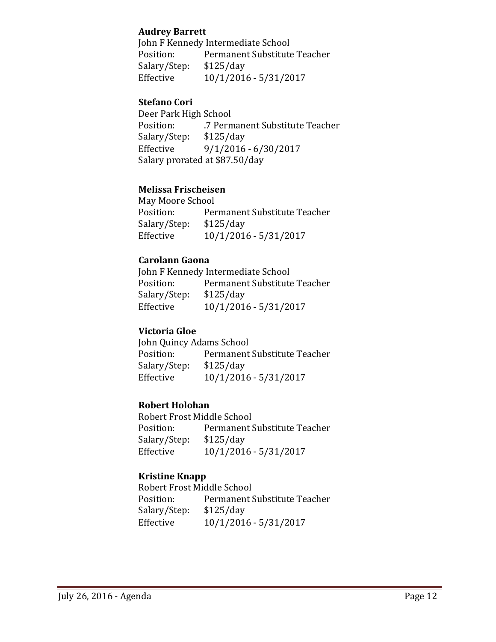#### **Audrey Barrett**

John F Kennedy Intermediate School<br>Position: Permanent Substitute Permanent Substitute Teacher<br>\$125/day Salary/Step:<br>Effective Effective 10/1/2016 - 5/31/2017

# **Stefano Cori**

Deer Park High School<br>Position: 7 Perm .7 Permanent Substitute Teacher<br>\$125/day Salary/Step:<br>Effective Effective 9/1/2016 - 6/30/2017 Salary prorated at \$87.50/day

# **Melissa Frischeisen**

May Moore School<br>Position: Per Permanent Substitute Teacher<br>\$125/day Salary/Step:<br>Effective Effective 10/1/2016 - 5/31/2017

#### **Carolann Gaona**

John F Kennedy Intermediate School<br>Position: Permanent Substitute Permanent Substitute Teacher<br>\$125/day Salary/Step: Effective 10/1/2016 - 5/31/2017

#### **Victoria Gloe**

John Quincy Adams School<br>Position: Permanent Permanent Substitute Teacher<br>\$125/day Salary/Step:<br>Effective Effective 10/1/2016 - 5/31/2017

#### **Robert Holohan**

Robert Frost Middle School<br>Position: Permanent! Permanent Substitute Teacher<br>\$125/day Salary/Step:<br>Effective Effective 10/1/2016 - 5/31/2017

#### **Kristine Knapp**

Robert Frost Middle School<br>Position: Permanent S Permanent Substitute Teacher<br>\$125/day Salary/Step:<br>Effective Effective 10/1/2016 - 5/31/2017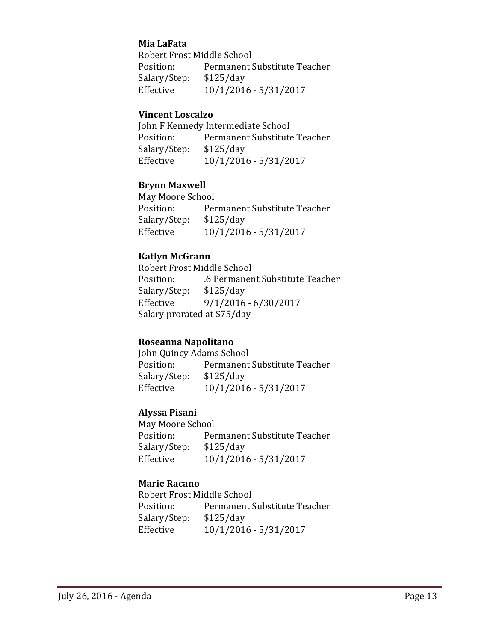### **Mia LaFata**

Robert Frost Middle School<br>Position: Permanent ! Permanent Substitute Teacher<br>\$125/day Salary/Step:<br>Effective Effective 10/1/2016 - 5/31/2017

#### **Vincent Loscalzo**

John F Kennedy Intermediate School<br>Position: Permanent Substitute Permanent Substitute Teacher<br>\$125/day Salary/Step:<br>Effective Effective 10/1/2016 - 5/31/2017

#### **Brynn Maxwell**

May Moore School<br>Position: Per Permanent Substitute Teacher<br>\$125/day Salary/Step:<br>Effective Effective 10/1/2016 - 5/31/2017

#### **Katlyn McGrann**

Robert Frost Middle School .6 Permanent Substitute Teacher<br>\$125/day Salary/Step:<br>Effective  $9/1/2016 - 6/30/2017$ Salary prorated at \$75/day

#### **Roseanna Napolitano**

John Quincy Adams School<br>Position: Permanent Permanent Substitute Teacher<br>\$125/day Salary/Step:<br>Effective Effective 10/1/2016 - 5/31/2017

#### **Alyssa Pisani**

May Moore School<br>Position: Per Permanent Substitute Teacher<br>\$125/day Salary/Step:<br>Effective Effective 10/1/2016 - 5/31/2017

#### **Marie Racano**

Robert Frost Middle School<br>Position: Permanent! Permanent Substitute Teacher<br>\$125/day Salary/Step:<br>Effective Effective 10/1/2016 - 5/31/2017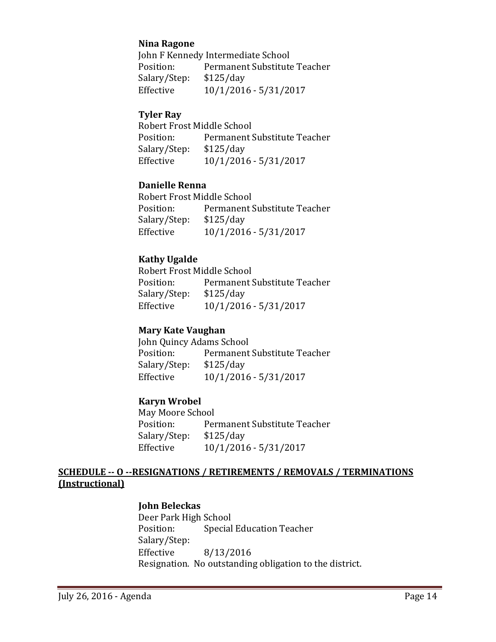### **Nina Ragone**

John F Kennedy Intermediate School<br>Position: Permanent Substitute Permanent Substitute Teacher<br>\$125/day Salary/Step:<br>Effective Effective 10/1/2016 - 5/31/2017

#### **Tyler Ray**

Robert Frost Middle School<br>Position: Permanent! Permanent Substitute Teacher<br>\$125/day Salary/Step:<br>Effective Effective 10/1/2016 - 5/31/2017

#### **Danielle Renna**

Robert Frost Middle School<br>Position: Permanent! Permanent Substitute Teacher<br>\$125/day Salary/Step:<br>Effective Effective 10/1/2016 - 5/31/2017

# **Kathy Ugalde**

Robert Frost Middle School<br>Position: Permanent ! Permanent Substitute Teacher<br>\$125/day Salary/Step: Effective 10/1/2016 - 5/31/2017

#### **Mary Kate Vaughan**

John Quincy Adams School Permanent Substitute Teacher<br>\$125/day Salary/Step:<br>Effective Effective 10/1/2016 - 5/31/2017

#### **Karyn Wrobel**

May Moore School<br>Position: Per Permanent Substitute Teacher<br>\$125/day Salary/Step: Effective 10/1/2016 - 5/31/2017

# **SCHEDULE -- O --RESIGNATIONS / RETIREMENTS / REMOVALS / TERMINATIONS (Instructional)**

#### **John Beleckas**

Deer Park High School<br>Position: Special Special Education Teacher Salary/Step: Effective 8/13/2016 Resignation. No outstanding obligation to the district.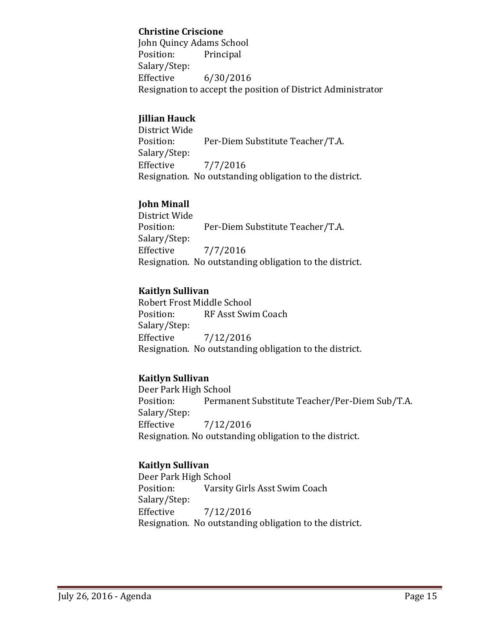### **Christine Criscione**

John Quincy Adams School Principal Salary/Step:<br>Effective  $6/30/2016$ Resignation to accept the position of District Administrator

# **Jillian Hauck**

District Wide Per-Diem Substitute Teacher/T.A. Salary/Step:  $7/7/2016$ Resignation. No outstanding obligation to the district.

# **John Minall**

District Wide Per-Diem Substitute Teacher/T.A. Salary/Step:<br>Effective Effective 7/7/2016 Resignation. No outstanding obligation to the district.

# **Kaitlyn Sullivan**

Robert Frost Middle School RF Asst Swim Coach Salary/Step:<br>Effective Effective 7/12/2016 Resignation. No outstanding obligation to the district.

# **Kaitlyn Sullivan**

Deer Park High School<br>Position: Permai Permanent Substitute Teacher/Per-Diem Sub/T.A. Salary/Step:<br>Effective Effective 7/12/2016 Resignation. No outstanding obligation to the district.

# **Kaitlyn Sullivan**

Deer Park High School<br>Position: Varsity Varsity Girls Asst Swim Coach Salary/Step:<br>Effective Effective 7/12/2016 Resignation. No outstanding obligation to the district.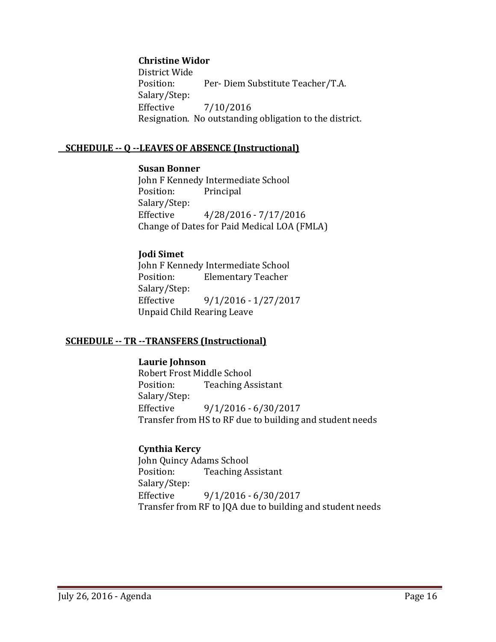#### **Christine Widor**

District Wide Per- Diem Substitute Teacher/T.A. Salary/Step:<br>Effective Effective 7/10/2016 Resignation. No outstanding obligation to the district.

#### **SCHEDULE -- Q --LEAVES OF ABSENCE (Instructional)**

#### **Susan Bonner**

John F Kennedy Intermediate School<br>Position: Principal Principal Salary/Step:<br>Effective Effective 4/28/2016 - 7/17/2016 Change of Dates for Paid Medical LOA (FMLA)

# **Jodi Simet**

John F Kennedy Intermediate School<br>Position: Flementary Teacher **Elementary Teacher** Salary/Step: Effective 9/1/2016 - 1/27/2017 Unpaid Child Rearing Leave

#### **SCHEDULE -- TR --TRANSFERS (Instructional)**

#### **Laurie Johnson**

Robert Frost Middle School<br>Position: Teaching As **Teaching Assistant** Salary/Step: Effective 9/1/2016 - 6/30/2017 Transfer from HS to RF due to building and student needs

# **Cynthia Kercy**

John Quincy Adams School<br>Position: Teaching A **Teaching Assistant** Salary/Step:<br>Effective Effective 9/1/2016 - 6/30/2017 Transfer from RF to JQA due to building and student needs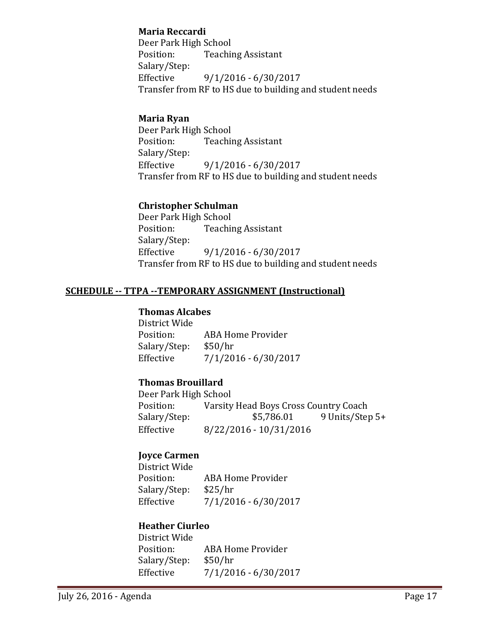### **Maria Reccardi**

Deer Park High School<br>Position: Teachii **Teaching Assistant** Salary/Step:<br>Effective  $9/1/2016 - 6/30/2017$ Transfer from RF to HS due to building and student needs

# **Maria Ryan**

Deer Park High School<br>Position: Teachii **Teaching Assistant** Salary/Step:  $9/1/2016 - 6/30/2017$ Transfer from RF to HS due to building and student needs

# **Christopher Schulman**

Deer Park High School<br>Position: Teachii **Teaching Assistant** Salary/Step: Effective 9/1/2016 - 6/30/2017 Transfer from RF to HS due to building and student needs

# **SCHEDULE -- TTPA --TEMPORARY ASSIGNMENT (Instructional)**

#### **Thomas Alcabes**

District Wide ABA Home Provider<br>\$50/hr Salary/Step: Effective 7/1/2016 - 6/30/2017

# **Thomas Brouillard**

Deer Park High School<br>Position: Varsity Position: Varsity Head Boys Cross Country Coach<br>Salary/Step: \$5,786.01 9 Units/Step Salary/Step: \$5,786.01 9 Units/Step 5+<br>Effective 8/22/2016 - 10/31/2016 Effective 8/22/2016 - 10/31/2016

# **Joyce Carmen**

District Wide ABA Home Provider<br>\$25/hr Salary/Step: Effective 7/1/2016 - 6/30/2017

# **Heather Ciurleo**

District Wide ABA Home Provider<br>\$50/hr Salary/Step:<br>Effective  $7/1/2016 - 6/30/2017$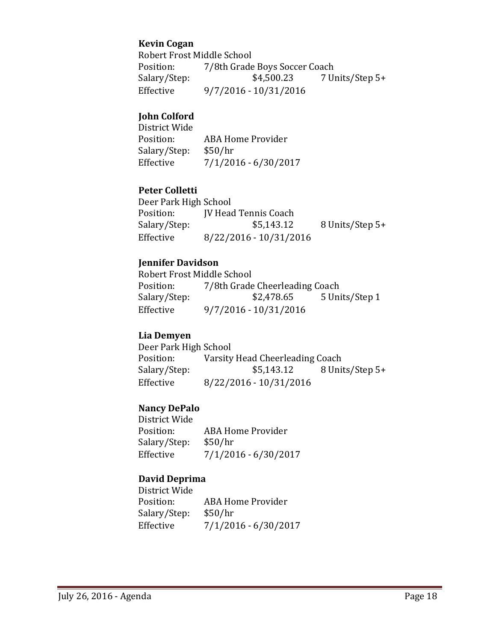#### **Kevin Cogan**

Robert Frost Middle School<br>Position: 7/8th Grade Position: 7/8th Grade Boys Soccer Coach<br>Salary/Step: \$4,500.23 7 U 7 Units/Step 5+ Effective 9/7/2016 - 10/31/2016

# **John Colford**

District Wide ABA Home Provider<br>\$50/hr Salary/Step:<br>Effective  $7/1/2016 - 6/30/2017$ 

#### **Peter Colletti**

Deer Park High School<br>Position: [V Head Position: JV Head Tennis Coach<br>Salary/Step: \$5,143.12 8 Units/Step 5+ Effective 8/22/2016 - 10/31/2016

#### **Jennifer Davidson**

Robert Frost Middle School<br>Position: 7/8th Grade Position: 7/8th Grade Cheerleading Coach<br>Salary/Step: \$2,478.65 5 Uni 5 Units/Step 1 Effective 9/7/2016 - 10/31/2016

#### **Lia Demyen**

Deer Park High School<br>Position: Varsity Position: Varsity Head Cheerleading Coach<br>Salary/Step: \$5,143.12 8 Unit 8 Units/Step 5+ Effective 8/22/2016 - 10/31/2016

#### **Nancy DePalo**

District Wide ABA Home Provider<br>\$50/hr Salary/Step:<br>Effective  $7/1/2016 - 6/30/2017$ 

#### **David Deprima**

District Wide ABA Home Provider<br>\$50/hr Salary/Step: Effective 7/1/2016 - 6/30/2017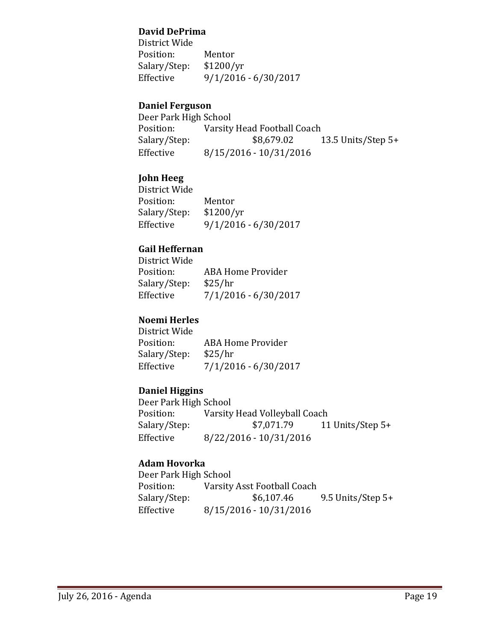### **David DePrima**

District Wide Position: Mentor<br>Salary/Step: \$1200/yr Salary/Step:<br>Effective Effective 9/1/2016 - 6/30/2017

#### **Daniel Ferguson**

Deer Park High School<br>Position: Varsity Position: Varsity Head Football Coach<br>Salary/Step: \$8,679.02 1 Salary/Step: \$8,679.02 13.5 Units/Step 5+<br>Effective 8/15/2016 - 10/31/2016 Effective 8/15/2016 - 10/31/2016

# **John Heeg**

District Wide Position: Mentor<br>Salary/Step: \$1200/yr Salary/Step:<br>Effective  $9/1/2016 - 6/30/2017$ 

# **Gail Heffernan**

| District Wide |                      |
|---------------|----------------------|
| Position:     | ABA Home Provider    |
| Salary/Step:  | \$25/hr              |
| Effective     | 7/1/2016 - 6/30/2017 |

# **Noemi Herles**

District Wide ABA Home Provider<br>\$25/hr Salary/Step:<br>Effective  $7/1/2016 - 6/30/2017$ 

#### **Daniel Higgins**

Deer Park High School<br>Position: Varsity Position: Varsity Head Volleyball Coach<br>Salary/Step: \$7,071.79 11 Salary/Step: \$7,071.79 11 Units/Step 5+<br>Effective 8/22/2016 - 10/31/2016 Effective 8/22/2016 - 10/31/2016

# **Adam Hovorka**

Deer Park High School<br>Position: Varsity Position: Varsity Asst Football Coach<br>Salary/Step: \$6,107.46 9.5 Units/Step 5+ Effective 8/15/2016 - 10/31/2016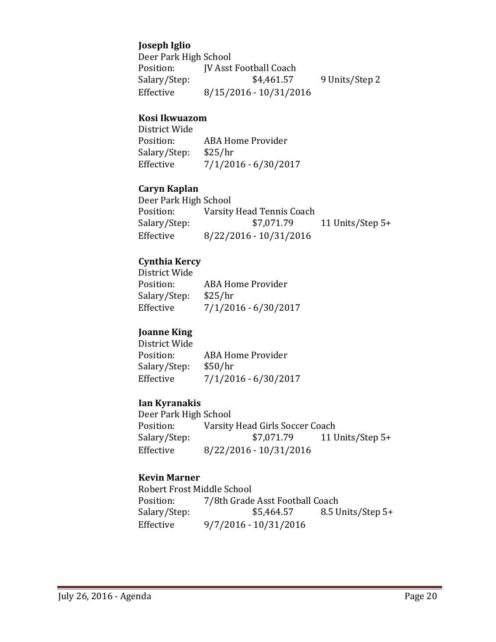### **Joseph Iglio**

Deer Park High School<br>Position: **IV Asst** Position: JV Asst Football Coach<br>Salary/Step: \$4,461.57 Salary/Step: \$4,461.57 9 Units/Step 2<br>Effective 8/15/2016 - 10/31/2016 Effective 8/15/2016 - 10/31/2016

#### **Kosi Ikwuazom**

District Wide ABA Home Provider<br>\$25/hr Salary/Step:<br>Effective  $7/1/2016 - 6/30/2017$ 

#### **Caryn Kaplan**

| Deer Park High School |                           |                    |  |
|-----------------------|---------------------------|--------------------|--|
| Position:             | Varsity Head Tennis Coach |                    |  |
| Salary/Step:          | \$7,071.79                | 11 Units/Step $5+$ |  |
| Effective             | 8/22/2016 - 10/31/2016    |                    |  |

### **Cynthia Kercy**

| District Wide |                      |
|---------------|----------------------|
| Position:     | ABA Home Provider    |
| Salary/Step:  | \$25/hr              |
| Effective     | 7/1/2016 - 6/30/2017 |
|               |                      |

#### **Joanne King**

District Wide ABA Home Provider<br>\$50/hr Salary/Step:<br>Effective  $7/1/2016 - 6/30/2017$ 

#### **Ian Kyranakis**

Deer Park High School<br>Position: Varsity Position: Varsity Head Girls Soccer Coach<br>Salary/Step: \$7,071.79 11 U 11 Units/Step 5+ Effective 8/22/2016 - 10/31/2016

# **Kevin Marner**

Robert Frost Middle School<br>Position: 7/8th Grade Position: 7/8th Grade Asst Football Coach<br>Salary/Step: \$5,464.57 8.5 U Salary/Step: \$5,464.57 8.5 Units/Step 5+<br>Effective 9/7/2016 - 10/31/2016 Effective 9/7/2016 - 10/31/2016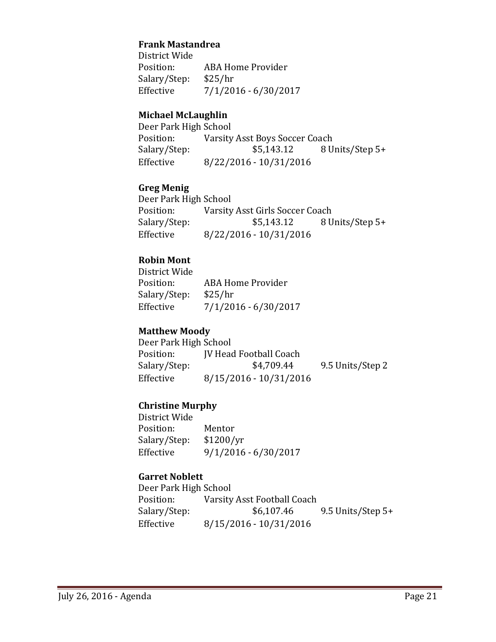#### **Frank Mastandrea**

District Wide ABA Home Provider<br>\$25/hr Salary/Step: Effective 7/1/2016 - 6/30/2017

#### **Michael McLaughlin**

Deer Park High School<br>Position: Varsity Position: Varsity Asst Boys Soccer Coach<br>Salary/Step: \$5,143.12 8 U Salary/Step: \$5,143.12 8 Units/Step 5+<br>Effective 8/22/2016 - 10/31/2016 Effective 8/22/2016 - 10/31/2016

#### **Greg Menig**

Deer Park High School<br>Position: Varsity Position: Varsity Asst Girls Soccer Coach<br>Salary/Step: \$5,143.12 8 U Salary/Step: \$5,143.12 8 Units/Step 5+<br>Effective 8/22/2016 - 10/31/2016 Effective 8/22/2016 - 10/31/2016

#### **Robin Mont**

District Wide ABA Home Provider<br>\$25/hr Salary/Step: Effective 7/1/2016 - 6/30/2017

#### **Matthew Moody**

Deer Park High School<br>Position: [V Head Position: JV Head Football Coach<br>Salary/Step: \$4,709.44 9.5 Units/Step 2 Effective 8/15/2016 - 10/31/2016

#### **Christine Murphy**

District Wide Position: Mentor<br>Salary/Step: \$1200/yr Salary/Step:<br>Effective  $9/1/2016 - 6/30/2017$ 

#### **Garret Noblett**

| Deer Park High School |                             |                     |
|-----------------------|-----------------------------|---------------------|
| Position:             | Varsity Asst Football Coach |                     |
| Salary/Step:          | \$6,107.46                  | 9.5 Units/Step $5+$ |
| Effective             | 8/15/2016 - 10/31/2016      |                     |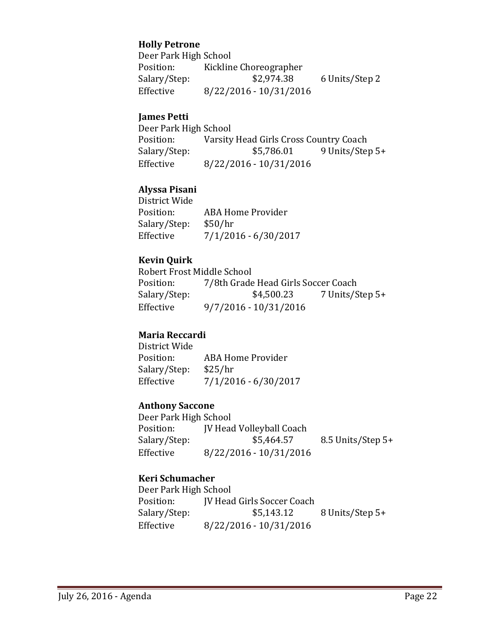# **Holly Petrone**

Deer Park High School<br>Position: Kicklin Position: Kickline Choreographer<br>Salary/Step: \$2,974.38 6 Units/Step 2 Effective 8/22/2016 - 10/31/2016

#### **James Petti**

Deer Park High School<br>Position: Varsity Position: Varsity Head Girls Cross Country Coach<br>Salary/Step: \$5,786.01 9 Units/Step 9 Units/Step 5+ Effective 8/22/2016 - 10/31/2016

### **Alyssa Pisani**

District Wide ABA Home Provider<br>\$50/hr Salary/Step:<br>Effective  $7/1/2016 - 6/30/2017$ 

#### **Kevin Quirk**

Robert Frost Middle School<br>Position: 7/8th Grade Position: 7/8th Grade Head Girls Soccer Coach<br>Salary/Step: \$4,500.23 7 Units/S 7 Units/Step 5+ Effective 9/7/2016 - 10/31/2016

#### **Maria Reccardi**

District Wide ABA Home Provider<br>\$25/hr Salary/Step: Effective 7/1/2016 - 6/30/2017

#### **Anthony Saccone**

Deer Park High School Position: JV Head Volleyball Coach<br>Salary/Step: \$5,464.57 8.5 Units/Step 5+ Effective 8/22/2016 - 10/31/2016

#### **Keri Schumacher**

Deer Park High School<br>Position: [V Head Position: JV Head Girls Soccer Coach<br>Salary/Step: \$5,143.12 8 Units/Step 5+ Effective 8/22/2016 - 10/31/2016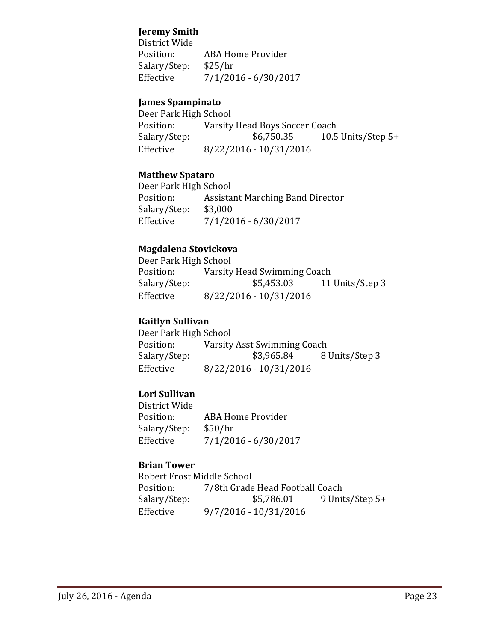# **Jeremy Smith**

District Wide ABA Home Provider<br>\$25/hr Salary/Step:<br>Effective  $7/1/2016 - 6/30/2017$ 

### **James Spampinato**

Deer Park High School<br>Position: Varsity Position: Varsity Head Boys Soccer Coach<br>Salary/Step: \$6,750.35 10.5 Salary/Step: \$6,750.35 10.5 Units/Step 5+<br>Effective 8/22/2016 - 10/31/2016 Effective 8/22/2016 - 10/31/2016

#### **Matthew Spataro**

Deer Park High School<br>Position: Assista Assistant Marching Band Director<br>\$3,000 Salary/Step: Effective 7/1/2016 - 6/30/2017

#### **Magdalena Stovickova**

Deer Park High School<br>Position: Varsity Position: Varsity Head Swimming Coach<br>Salary/Step: \$5,453.03 11 Salary/Step: \$5,453.03 11 Units/Step 3<br>Effective 8/22/2016 - 10/31/2016 Effective 8/22/2016 - 10/31/2016

#### **Kaitlyn Sullivan**

Deer Park High School Position: Varsity Asst Swimming Coach<br>Salary/Step: \$3,965.84 8 8 Units/Step 3 Effective 8/22/2016 - 10/31/2016

#### **Lori Sullivan**

District Wide ABA Home Provider<br>\$50/hr Salary/Step:<br>Effective  $7/1/2016 - 6/30/2017$ 

#### **Brian Tower**

Robert Frost Middle School<br>Position: 7/8th Grade Position: 7/8th Grade Head Football Coach<br>Salary/Step: \$5,786.01 9 Unit 9 Units/Step 5+ Effective 9/7/2016 - 10/31/2016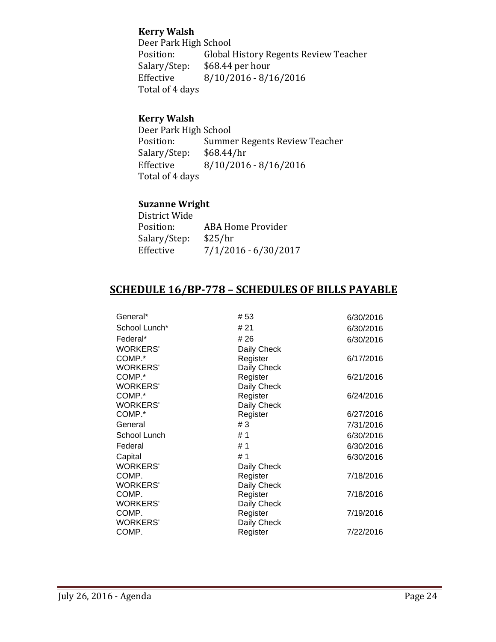# **Kerry Walsh**

Deer Park High School<br>Position: Global Position: Global History Regents Review Teacher<br>Salary/Step: \$68.44 per hour Salary/Step: \$68.44 per hour<br>Effective 8/10/2016 - 8/1  $8/10/2016 - 8/16/2016$ Total of 4 days

# **Kerry Walsh**

Deer Park High School<br>Position: Summe Summer Regents Review Teacher<br>\$68.44/hr Salary/Step:<br>Effective  $8/10/2016 - 8/16/2016$ Total of 4 days

# **Suzanne Wright**

| District Wide |                      |
|---------------|----------------------|
| Position:     | ABA Home Provider    |
| Salary/Step:  | \$25/hr              |
| Effective     | 7/1/2016 - 6/30/2017 |
|               |                      |

# **SCHEDULE 16/BP-778 – SCHEDULES OF BILLS PAYABLE**

| General*        | #53         | 6/30/2016 |
|-----------------|-------------|-----------|
| School Lunch*   | # 21        | 6/30/2016 |
| Federal*        | # 26        | 6/30/2016 |
| <b>WORKERS'</b> | Daily Check |           |
| COMP.*          | Register    | 6/17/2016 |
| <b>WORKERS'</b> | Daily Check |           |
| COMP.*          | Register    | 6/21/2016 |
| <b>WORKERS'</b> | Daily Check |           |
| COMP.*          | Register    | 6/24/2016 |
| <b>WORKERS'</b> | Daily Check |           |
| COMP.*          | Register    | 6/27/2016 |
| General         | # $3$       | 7/31/2016 |
| School Lunch    | #1          | 6/30/2016 |
| Federal         | #1          | 6/30/2016 |
| Capital         | #1          | 6/30/2016 |
| <b>WORKERS'</b> | Daily Check |           |
| COMP.           | Register    | 7/18/2016 |
| <b>WORKERS'</b> | Daily Check |           |
| COMP.           | Register    | 7/18/2016 |
| <b>WORKERS'</b> | Daily Check |           |
| COMP.           | Register    | 7/19/2016 |
| <b>WORKERS'</b> | Daily Check |           |
| COMP.           | Register    | 7/22/2016 |
|                 |             |           |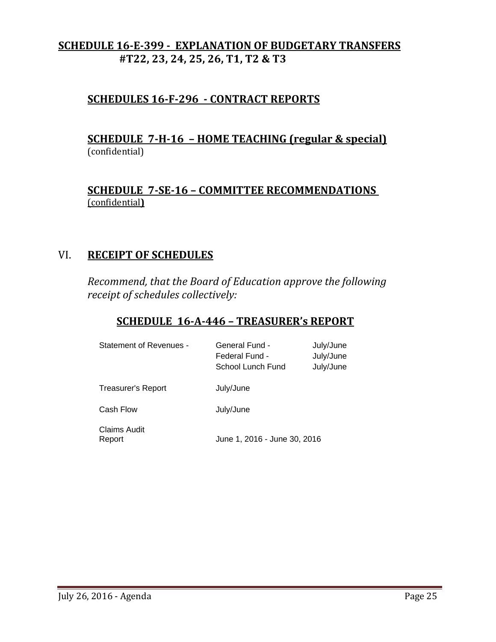# **SCHEDULE 16-E-399 - EXPLANATION OF BUDGETARY TRANSFERS #T22, 23, 24, 25, 26, T1, T2 & T3**

# **SCHEDULES 16-F-296 - CONTRACT REPORTS**

# **SCHEDULE 7-H-16 – HOME TEACHING (regular & special)** (confidential)

# **SCHEDULE 7-SE-16 – COMMITTEE RECOMMENDATIONS**  (confidential**)**

# VI. **RECEIPT OF SCHEDULES**

*Recommend, that the Board of Education approve the following receipt of schedules collectively:*

# **SCHEDULE 16-A-446 – TREASURER's REPORT**

| Statement of Revenues - | General Fund -<br>Federal Fund -<br>School Lunch Fund | July/June<br>July/June<br>July/June |
|-------------------------|-------------------------------------------------------|-------------------------------------|
| Treasurer's Report      | July/June                                             |                                     |
| Cash Flow               | July/June                                             |                                     |
| Claims Audit<br>Report  | June 1, 2016 - June 30, 2016                          |                                     |